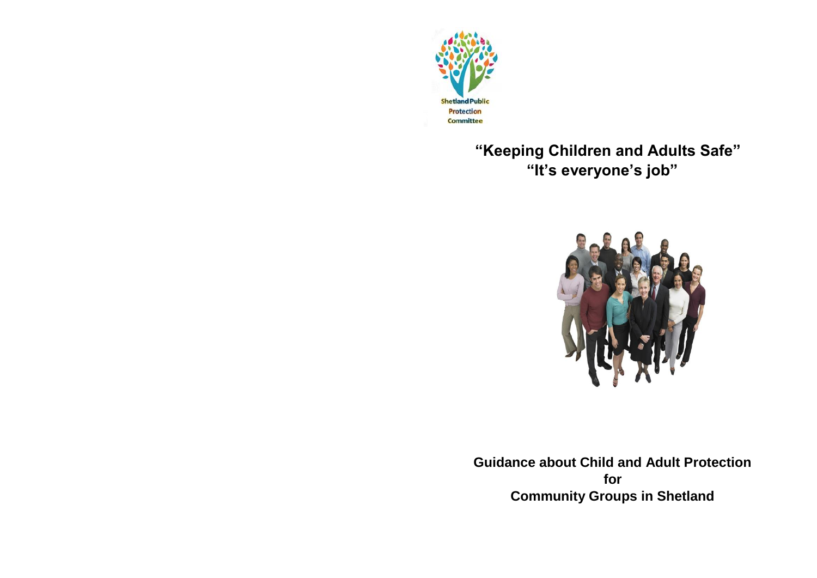

 **"Keeping Children and Adults Safe" "It's everyone's job"**



**Guidance about Child and Adult Protection for Community Groups in Shetland**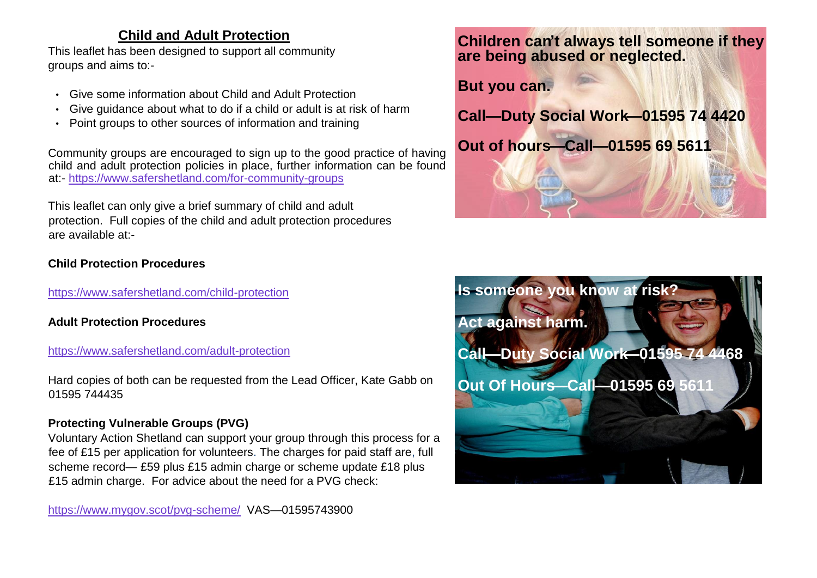## **Child and Adult Protection**

This leaflet has been designed to support all community groups and aims to:-

- Give some information about Child and Adult Protection
- Give guidance about what to do if a child or adult is at risk of harm
- Point groups to other sources of information and training

Community groups are encouraged to sign up to the good practice of having child and adult protection policies in place, further information can be found at:- <https://www.safershetland.com/for-community-groups>

This leaflet can only give a brief summary of child and adult protection. Full copies of the child and adult protection procedures are available at:-

## **Child Protection Procedures**

<https://www.safershetland.com/child-protection>

**Adult Protection Procedures** 

### <https://www.safershetland.com/adult-protection>

Hard copies of both can be requested from the Lead Officer, Kate Gabb on 01595 744435

## **Protecting Vulnerable Groups (PVG)**

Voluntary Action Shetland can support your group through this process for a fee of £15 per application for volunteers. The charges for paid staff are, full scheme record— £59 plus £15 admin charge or scheme update £18 plus £15 admin charge. For advice about the need for a PVG check:

<https://www.mygov.scot/pvg-scheme/> VAS—01595743900

# **Children can't always tell someone if they are being abused or neglected.**

# **But you can.**

**Call—Duty Social Work—01595 74 4420**



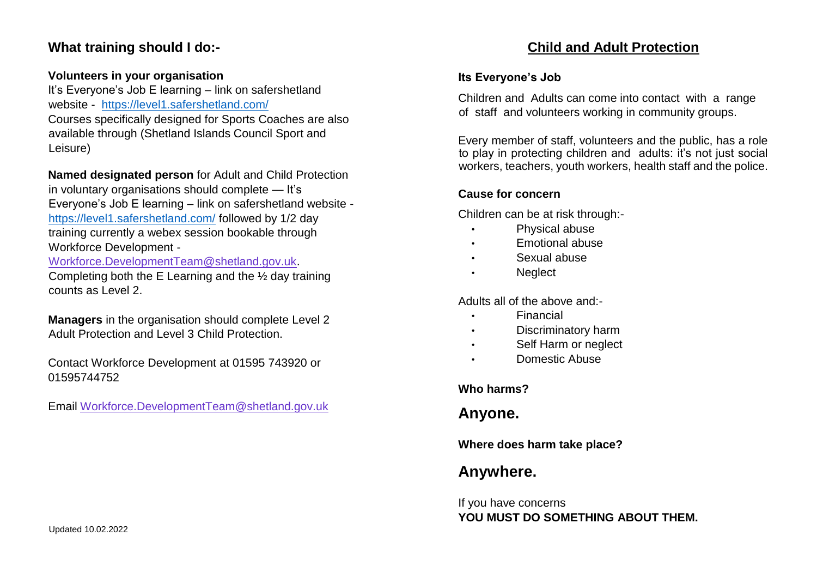## **What training should I do:-**

### **Volunteers in your organisation**

It's Everyone's Job E learning – link on safershetland website - <https://level1.safershetland.com/> Courses specifically designed for Sports Coaches are also available through (Shetland Islands Council Sport and Leisure)

**Named designated person** for Adult and Child Protection in voluntary organisations should complete — It's Everyone's Job E learning – link on safershetland website <https://level1.safershetland.com/> followed by 1/2 day training currently a webex session bookable through Workforce Development -

Workforce.DevelopmentTeam@shetland.gov.uk.

Completing both the E Learning and the ½ day training counts as Level 2.

**Managers** in the organisation should complete Level 2 Adult Protection and Level 3 Child Protection.

Contact Workforce Development at 01595 743920 or 01595744752

Email Workforce.DevelopmentTeam@shetland.gov.uk

# **Child and Adult Protection**

### **Its Everyone's Job**

Children and Adults can come into contact with a range of staff and volunteers working in community groups.

Every member of staff, volunteers and the public, has a role to play in protecting children and adults: it's not just social workers, teachers, youth workers, health staff and the police.

### **Cause for concern**

Children can be at risk through:-

- Physical abuse
- Emotional abuse
- Sexual abuse
- Neglect

Adults all of the above and:-

- Financial
- Discriminatory harm
- Self Harm or neglect
- Domestic Abuse

## **Who harms?**

# **Anyone.**

**Where does harm take place?** 

# **Anywhere.**

If you have concerns **YOU MUST DO SOMETHING ABOUT THEM.**